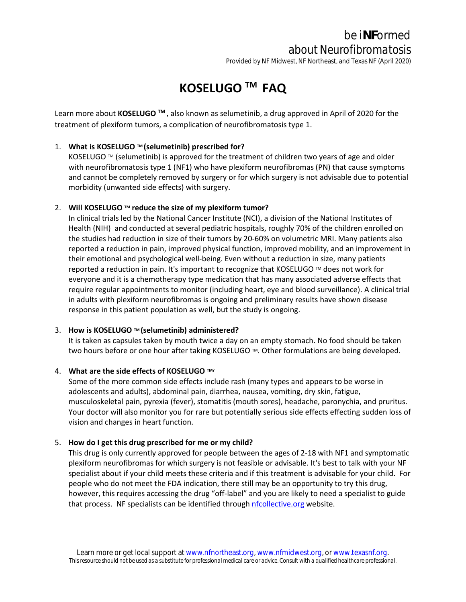# be i**NF**ormed *about Neurofibromatosis*

Provided by NF Midwest, NF Northeast, and Texas NF (April 2020)

## **KOSELUGO TM FAQ**

Learn more about **KOSELUGO TM** , also known as selumetinib, a drug approved in April of 2020 for the treatment of plexiform tumors, a complication of neurofibromatosis type 1.

## 1. **What is KOSELUGO TM (selumetinib) prescribed for?**

KOSELUGO  $M$  (selumetinib) is approved for the treatment of children two years of age and older with neurofibromatosis type 1 (NF1) who have plexiform neurofibromas (PN) that cause symptoms and cannot be completely removed by surgery or for which surgery is not advisable due to potential morbidity (unwanted side effects) with surgery.

## 2. **Will KOSELUGO TM reduce the size of my plexiform tumor?**

In clinical trials led by the National Cancer Institute (NCI), a division of the National Institutes of Health (NIH) and conducted at several pediatric hospitals, roughly 70% of the children enrolled on the studies had reduction in size of their tumors by 20-60% on volumetric MRI. Many patients also reported a reduction in pain, improved physical function, improved mobility, and an improvement in their emotional and psychological well-being. Even without a reduction in size, many patients reported a reduction in pain. It's important to recognize that KOSELUGO ™ does not work for everyone and it is a chemotherapy type medication that has many associated adverse effects that require regular appointments to monitor (including heart, eye and blood surveillance). A clinical trial in adults with plexiform neurofibromas is ongoing and preliminary results have shown disease response in this patient population as well, but the study is ongoing.

## 3. **How is KOSELUGO TM (selumetinib) administered?**

It is taken as capsules taken by mouth twice a day on an empty stomach. No food should be taken two hours before or one hour after taking KOSELUGO ™. Other formulations are being developed.

#### 4. **What are the side effects of KOSELUGO TM?**

Some of the more common side effects include rash (many types and appears to be worse in adolescents and adults), abdominal pain, diarrhea, nausea, vomiting, dry skin, fatigue, musculoskeletal pain, pyrexia (fever), stomatitis (mouth sores), headache, paronychia, and pruritus. Your doctor will also monitor you for rare but potentially serious side effects effecting sudden loss of vision and changes in heart function.

#### 5. **How do I get this drug prescribed for me or my child?**

This drug is only currently approved for people between the ages of 2-18 with NF1 and symptomatic plexiform neurofibromas for which surgery is not feasible or advisable. It's best to talk with your NF specialist about if your child meets these criteria and if this treatment is advisable for your child. For people who do not meet the FDA indication, there still may be an opportunity to try this drug, however, this requires accessing the drug "off-label" and you are likely to need a specialist to guide that process. NF specialists can be identified through [nfcollective.org](http://www.nfcollective.org/) website.